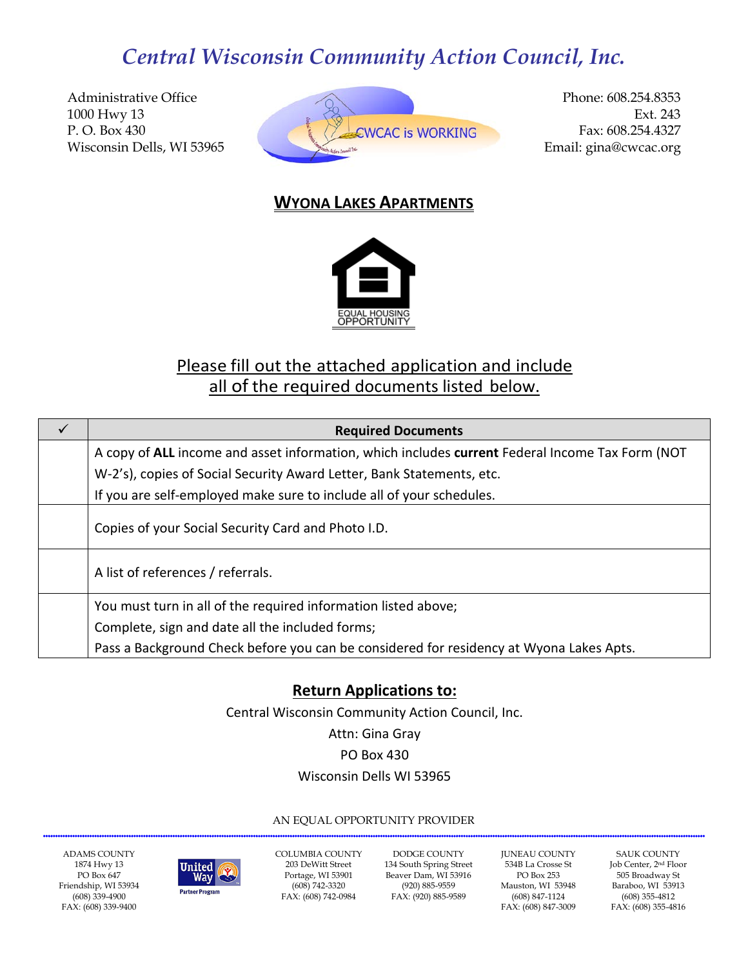Administrative Office 1000 Hwy 13 P. O. Box 430 Wisconsin Dells, WI 53965



Phone: 608.254.8353 Ext. 243 Fax: 608.254.4327 Email: gina@cwcac.org

## **WYONA LAKES APARTMENTS**



# Please fill out the attached application and include all of the required documents listed below.

| A copy of ALL income and asset information, which includes current Federal Income Tax Form (NOT |
|-------------------------------------------------------------------------------------------------|
|                                                                                                 |
|                                                                                                 |
|                                                                                                 |
|                                                                                                 |
|                                                                                                 |
|                                                                                                 |
|                                                                                                 |
|                                                                                                 |
|                                                                                                 |

## **Return Applications to:**

Central Wisconsin Community Action Council, Inc.

Attn: Gina Gray

#### PO Box 430

### Wisconsin Dells WI 53965

#### AN EQUAL OPPORTUNITY PROVIDER

ADAMS COUNTY 1874 Hwy 13 PO Box 647 Friendship, WI 53934 (608) 339-4900 FAX: (608) 339-9400



COLUMBIA COUNTY 203 DeWitt Street Portage, WI 53901 (608) 742-3320 FAX: (608) 742-0984

DODGE COUNTY 134 South Spring Street Beaver Dam, WI 53916 (920) 885-9559 FAX: (920) 885-9589

JUNEAU COUNTY 534B La Crosse St PO Box 253 Mauston, WI 53948 (608) 847-1124 FAX: (608) 847-3009

SAUK COUNTY Job Center, 2nd Floor 505 Broadway St Baraboo, WI 53913 (608) 355-4812 FAX: (608) 355-4816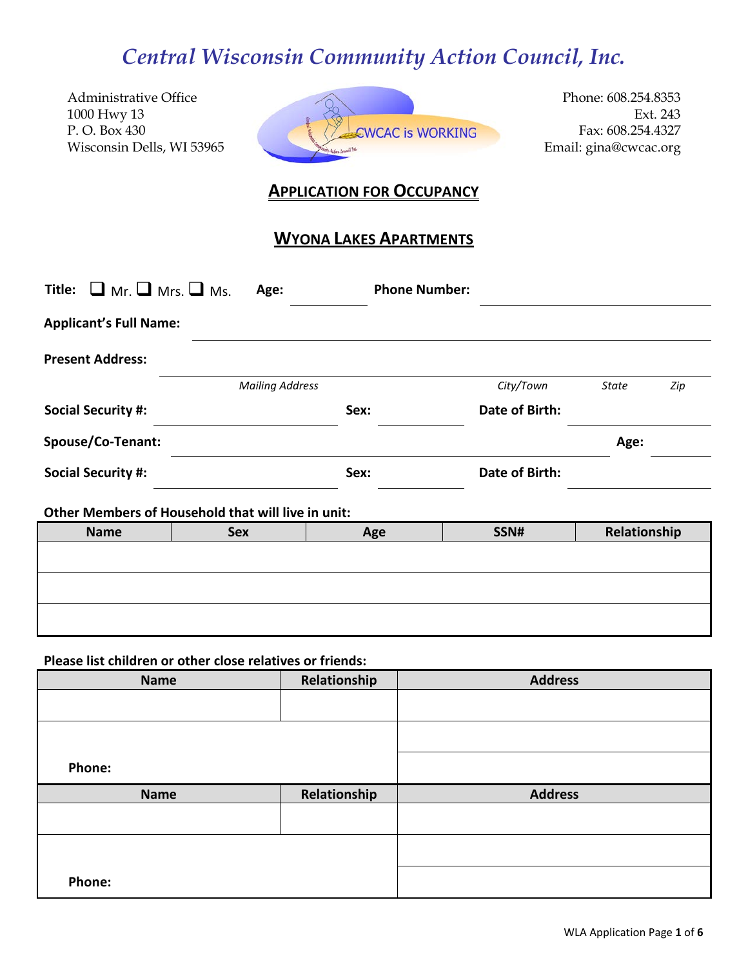Administrative Office 1000 Hwy 13 P. O. Box 430 Wisconsin Dells, WI 53965



Phone: 608.254.8353 Ext. 243 Fax: 608.254.4327 Email: gina@cwcac.org

### **APPLICATION FOR OCCUPANCY**

## **WYONA LAKES APARTMENTS**

| Title: $\Box$ Mr. $\Box$ Mrs. $\Box$ Ms. | Age:                                               | <b>Phone Number:</b> |                |              |     |
|------------------------------------------|----------------------------------------------------|----------------------|----------------|--------------|-----|
| <b>Applicant's Full Name:</b>            |                                                    |                      |                |              |     |
| <b>Present Address:</b>                  |                                                    |                      |                |              |     |
|                                          | <b>Mailing Address</b>                             |                      | City/Town      | <b>State</b> | Zip |
| <b>Social Security #:</b>                |                                                    | Sex:                 | Date of Birth: |              |     |
| Spouse/Co-Tenant:                        |                                                    |                      |                | Age:         |     |
| <b>Social Security #:</b>                |                                                    | Sex:                 | Date of Birth: |              |     |
|                                          | Other Members of Household that will live in unit: |                      |                |              |     |
| <b>Name</b>                              | <b>Sex</b>                                         | Age                  | SSN#           | Relationship |     |
|                                          |                                                    |                      |                |              |     |
|                                          |                                                    |                      |                |              |     |

#### **Please list children or other close relatives or friends:**

| <b>Name</b> | Relationship | <b>Address</b> |
|-------------|--------------|----------------|
|             |              |                |
|             |              |                |
| Phone:      |              |                |
|             |              |                |
| <b>Name</b> | Relationship | <b>Address</b> |
|             |              |                |
|             |              |                |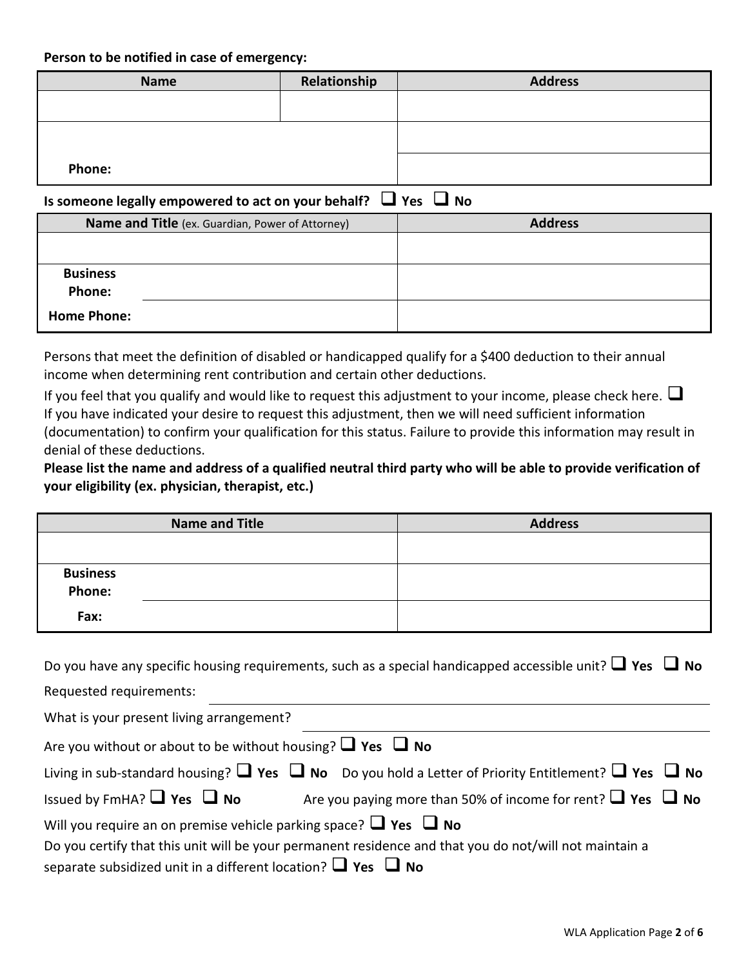**Person to be notified in case of emergency:**

| <b>Name</b> | Relationship | <b>Address</b> |
|-------------|--------------|----------------|
|             |              |                |
|             |              |                |
|             |              |                |
| Phone:      |              |                |

## **Is someone legally empowered to act on your behalf?**  $\Box$  Yes  $\Box$  No

| Name and Title (ex. Guardian, Power of Attorney) | <b>Address</b> |
|--------------------------------------------------|----------------|
|                                                  |                |
| <b>Business</b><br><b>Phone:</b>                 |                |
| <b>Home Phone:</b>                               |                |

Persons that meet the definition of disabled or handicapped qualify for a \$400 deduction to their annual income when determining rent contribution and certain other deductions.

If you feel that you qualify and would like to request this adjustment to your income, please check here.  $\Box$ If you have indicated your desire to request this adjustment, then we will need sufficient information (documentation) to confirm your qualification for this status. Failure to provide this information may result in denial of these deductions.

**Please list the name and address of a qualified neutral third party who will be able to provide verification of your eligibility (ex. physician, therapist, etc.)**

|                           | <b>Name and Title</b> | <b>Address</b> |
|---------------------------|-----------------------|----------------|
|                           |                       |                |
|                           |                       |                |
| <b>Business</b><br>Phone: |                       |                |
| Fax:                      |                       |                |

| Do you have any specific housing requirements, such as a special handicapped accessible unit? $\Box$ Yes $\Box$ No      |  |  |  |  |  |
|-------------------------------------------------------------------------------------------------------------------------|--|--|--|--|--|
| Requested requirements:                                                                                                 |  |  |  |  |  |
| What is your present living arrangement?                                                                                |  |  |  |  |  |
| Are you without or about to be without housing? $\Box$ Yes $\Box$ No                                                    |  |  |  |  |  |
| Living in sub-standard housing? $\Box$ Yes $\Box$ No Do you hold a Letter of Priority Entitlement? $\Box$ Yes $\Box$ No |  |  |  |  |  |
| Issued by FmHA? $\Box$ Yes $\Box$ No<br>Are you paying more than 50% of income for rent? $\Box$ Yes $\Box$ No           |  |  |  |  |  |
| Will you require an on premise vehicle parking space? $\Box$ Yes $\Box$ No                                              |  |  |  |  |  |
| Do you certify that this unit will be your permanent residence and that you do not/will not maintain a                  |  |  |  |  |  |

**Separate subsidized unit in a different location?**  $\Box$  **Yes**  $\Box$  **No**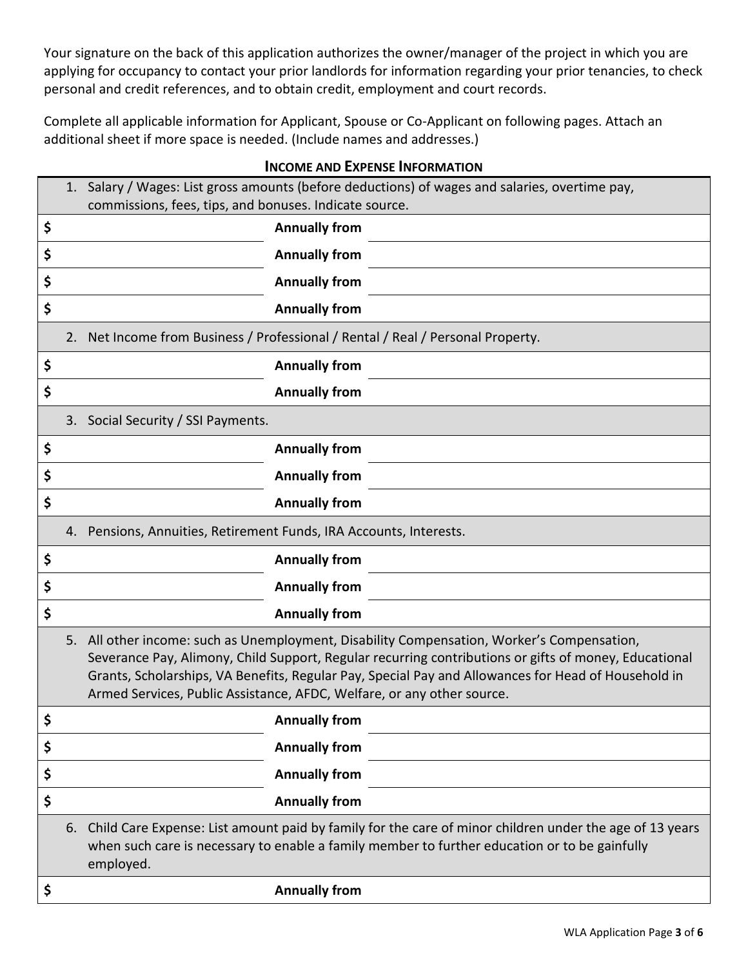Your signature on the back of this application authorizes the owner/manager of the project in which you are applying for occupancy to contact your prior landlords for information regarding your prior tenancies, to check personal and credit references, and to obtain credit, employment and court records.

Complete all applicable information for Applicant, Spouse or Co-Applicant on following pages. Attach an additional sheet if more space is needed. (Include names and addresses.)

|    | 1. Salary / Wages: List gross amounts (before deductions) of wages and salaries, overtime pay,<br>commissions, fees, tips, and bonuses. Indicate source.                                                                                                                                                                                                                             |  |  |  |  |  |  |
|----|--------------------------------------------------------------------------------------------------------------------------------------------------------------------------------------------------------------------------------------------------------------------------------------------------------------------------------------------------------------------------------------|--|--|--|--|--|--|
| Ş  | <b>Annually from</b>                                                                                                                                                                                                                                                                                                                                                                 |  |  |  |  |  |  |
| \$ | <b>Annually from</b>                                                                                                                                                                                                                                                                                                                                                                 |  |  |  |  |  |  |
| \$ | <b>Annually from</b>                                                                                                                                                                                                                                                                                                                                                                 |  |  |  |  |  |  |
| \$ | <b>Annually from</b>                                                                                                                                                                                                                                                                                                                                                                 |  |  |  |  |  |  |
|    | 2. Net Income from Business / Professional / Rental / Real / Personal Property.                                                                                                                                                                                                                                                                                                      |  |  |  |  |  |  |
| \$ | <b>Annually from</b>                                                                                                                                                                                                                                                                                                                                                                 |  |  |  |  |  |  |
| \$ | <b>Annually from</b>                                                                                                                                                                                                                                                                                                                                                                 |  |  |  |  |  |  |
|    | 3. Social Security / SSI Payments.                                                                                                                                                                                                                                                                                                                                                   |  |  |  |  |  |  |
| Ş  | <b>Annually from</b>                                                                                                                                                                                                                                                                                                                                                                 |  |  |  |  |  |  |
| \$ | <b>Annually from</b>                                                                                                                                                                                                                                                                                                                                                                 |  |  |  |  |  |  |
| \$ | <b>Annually from</b>                                                                                                                                                                                                                                                                                                                                                                 |  |  |  |  |  |  |
|    | 4. Pensions, Annuities, Retirement Funds, IRA Accounts, Interests.                                                                                                                                                                                                                                                                                                                   |  |  |  |  |  |  |
| \$ | <b>Annually from</b>                                                                                                                                                                                                                                                                                                                                                                 |  |  |  |  |  |  |
| \$ | <b>Annually from</b>                                                                                                                                                                                                                                                                                                                                                                 |  |  |  |  |  |  |
| \$ | <b>Annually from</b>                                                                                                                                                                                                                                                                                                                                                                 |  |  |  |  |  |  |
|    | 5. All other income: such as Unemployment, Disability Compensation, Worker's Compensation,<br>Severance Pay, Alimony, Child Support, Regular recurring contributions or gifts of money, Educational<br>Grants, Scholarships, VA Benefits, Regular Pay, Special Pay and Allowances for Head of Household in<br>Armed Services, Public Assistance, AFDC, Welfare, or any other source. |  |  |  |  |  |  |
| \$ | <b>Annually from</b>                                                                                                                                                                                                                                                                                                                                                                 |  |  |  |  |  |  |
| \$ | <b>Annually from</b>                                                                                                                                                                                                                                                                                                                                                                 |  |  |  |  |  |  |
| \$ | <b>Annually from</b>                                                                                                                                                                                                                                                                                                                                                                 |  |  |  |  |  |  |
| \$ | <b>Annually from</b>                                                                                                                                                                                                                                                                                                                                                                 |  |  |  |  |  |  |
|    | 6. Child Care Expense: List amount paid by family for the care of minor children under the age of 13 years<br>when such care is necessary to enable a family member to further education or to be gainfully<br>employed.                                                                                                                                                             |  |  |  |  |  |  |
| \$ | <b>Annually from</b>                                                                                                                                                                                                                                                                                                                                                                 |  |  |  |  |  |  |

#### **INCOME AND EXPENSE INFORMATION**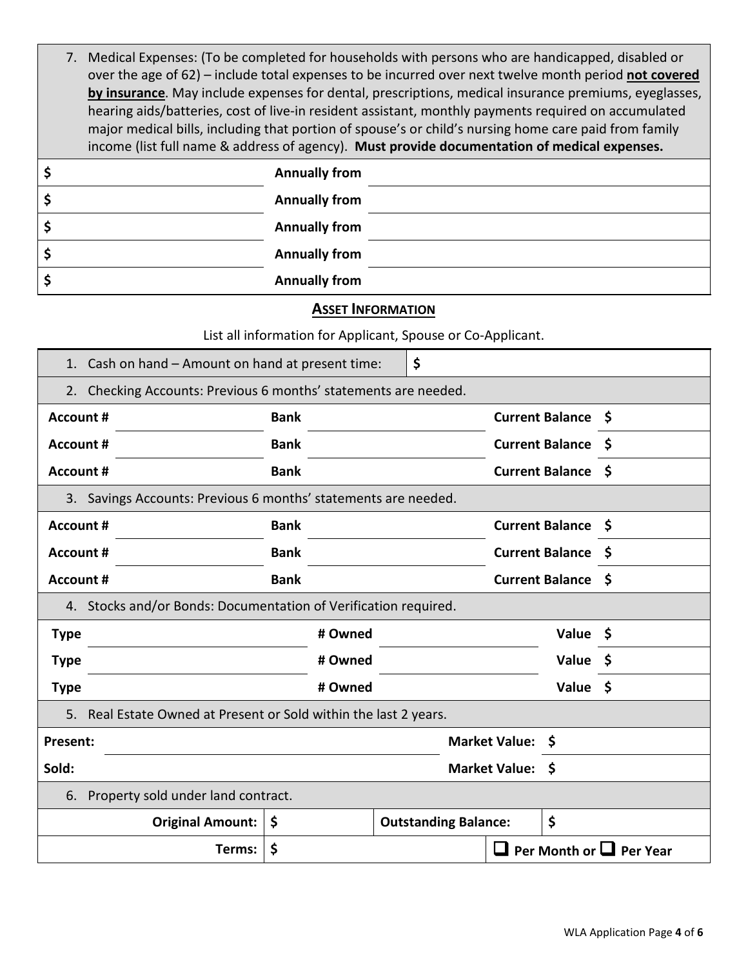| ċ  | Annually from                                                                                                                                                                                                                                                                                                 |
|----|---------------------------------------------------------------------------------------------------------------------------------------------------------------------------------------------------------------------------------------------------------------------------------------------------------------|
| \$ | <b>Annually from</b>                                                                                                                                                                                                                                                                                          |
|    | hearing aids/batteries, cost of live-in resident assistant, monthly payments required on accumulated<br>major medical bills, including that portion of spouse's or child's nursing home care paid from family<br>income (list full name & address of agency). Must provide documentation of medical expenses. |
|    | by insurance. May include expenses for dental, prescriptions, medical insurance premiums, eyeglasses,                                                                                                                                                                                                         |
|    | over the age of 62) - include total expenses to be incurred over next twelve month period not covered                                                                                                                                                                                                         |
|    | 7. Medical Expenses: (To be completed for households with persons who are handicapped, disabled or                                                                                                                                                                                                            |

| \$ | <b>Annually from</b> |  |
|----|----------------------|--|
| \$ | <b>Annually from</b> |  |
| \$ | <b>Annually from</b> |  |
| Ś. | <b>Annually from</b> |  |

## **ASSET INFORMATION**

List all information for Applicant, Spouse or Co-Applicant.

| 1. Cash on hand – Amount on hand at present time: |  |
|---------------------------------------------------|--|
|                                                   |  |

| 2. Checking Accounts: Previous 6 months' statements are needed. |                                                                 |             |         |          |                                   |                  |                           |  |
|-----------------------------------------------------------------|-----------------------------------------------------------------|-------------|---------|----------|-----------------------------------|------------------|---------------------------|--|
| Account #                                                       |                                                                 | <b>Bank</b> |         |          |                                   |                  | <b>Current Balance \$</b> |  |
| <b>Account #</b>                                                |                                                                 | <b>Bank</b> |         |          |                                   |                  | Current Balance \$        |  |
| <b>Account #</b>                                                |                                                                 | <b>Bank</b> |         |          |                                   |                  | Current Balance \$        |  |
| 3. Savings Accounts: Previous 6 months' statements are needed.  |                                                                 |             |         |          |                                   |                  |                           |  |
|                                                                 | <b>Bank</b><br>Account #                                        |             |         |          |                                   |                  | Current Balance \$        |  |
| Account #                                                       | Current Balance \$<br><b>Bank</b>                               |             |         |          |                                   |                  |                           |  |
|                                                                 | <b>Bank</b><br><b>Account #</b>                                 |             |         |          | Current Balance \$                |                  |                           |  |
|                                                                 | 4. Stocks and/or Bonds: Documentation of Verification required. |             |         |          |                                   |                  |                           |  |
| <b>Type</b>                                                     |                                                                 |             | # Owned |          |                                   |                  | Value \$                  |  |
| <b>Type</b>                                                     | # Owned                                                         |             |         | Value \$ |                                   |                  |                           |  |
| <b>Type</b>                                                     | # Owned                                                         |             |         |          |                                   | Value \$         |                           |  |
| 5.                                                              | Real Estate Owned at Present or Sold within the last 2 years.   |             |         |          |                                   |                  |                           |  |
| <b>Present:</b>                                                 |                                                                 |             |         |          |                                   | Market Value: \$ |                           |  |
| Sold:                                                           | Market Value: \$                                                |             |         |          |                                   |                  |                           |  |
| 6.                                                              | Property sold under land contract.                              |             |         |          |                                   |                  |                           |  |
|                                                                 | Original Amount:<br>\$                                          |             |         |          | \$<br><b>Outstanding Balance:</b> |                  |                           |  |
| \$<br>Per Month or $\Box$ Per Year<br>Terms:                    |                                                                 |             |         |          |                                   |                  |                           |  |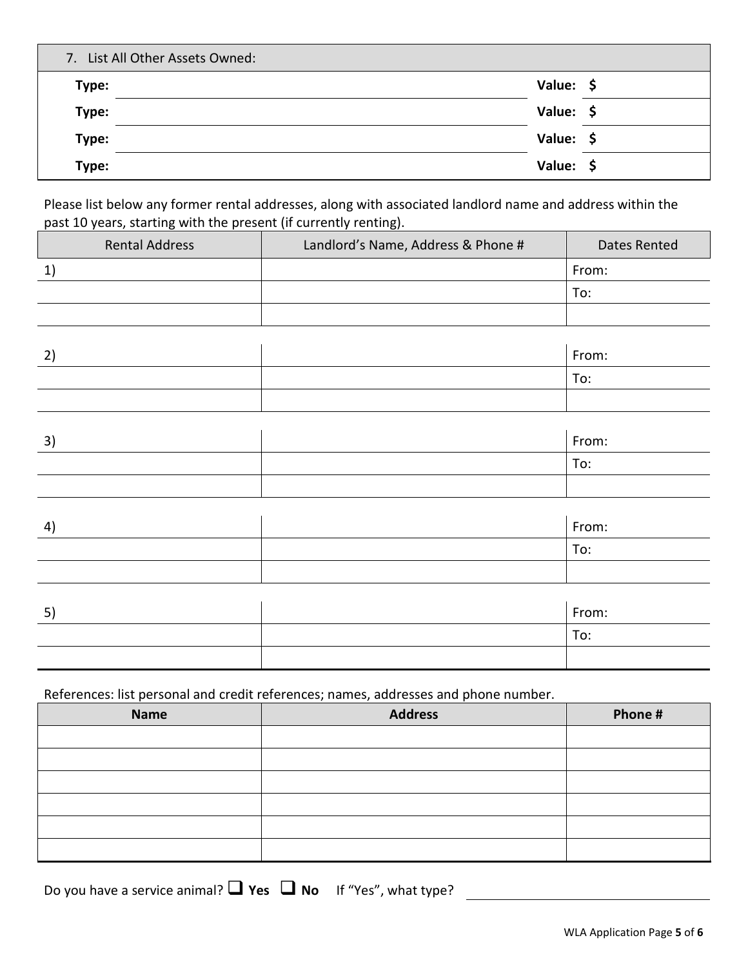| 7. List All Other Assets Owned: |           |  |
|---------------------------------|-----------|--|
| Type:                           | Value: \$ |  |
| Type:                           | Value: \$ |  |
| Type:                           | Value: \$ |  |
| Type:                           | Value: \$ |  |

Please list below any former rental addresses, along with associated landlord name and address within the past 10 years, starting with the present (if currently renting).

| <b>Rental Address</b> | Landlord's Name, Address & Phone # | Dates Rented |
|-----------------------|------------------------------------|--------------|
| 1)                    |                                    | From:        |
|                       |                                    | To:          |
|                       |                                    |              |
|                       |                                    |              |
| 2)                    |                                    | From:        |
|                       |                                    | To:          |
|                       |                                    |              |
|                       |                                    |              |
|                       |                                    |              |

| $\sim$<br>3. | From: |
|--------------|-------|
|              | To:   |
|              |       |

| $\left 4\right\rangle$ | From: |
|------------------------|-------|
|                        | To:   |
|                        |       |

| 5 <sup>′</sup> | From: |
|----------------|-------|
|                | To:   |
|                |       |

References: list personal and credit references; names, addresses and phone number.

| <b>Name</b> | <b>Address</b> | Phone # |
|-------------|----------------|---------|
|             |                |         |
|             |                |         |
|             |                |         |
|             |                |         |
|             |                |         |
|             |                |         |

Do you have a service animal? **Q Yes Q No** If "Yes", what type?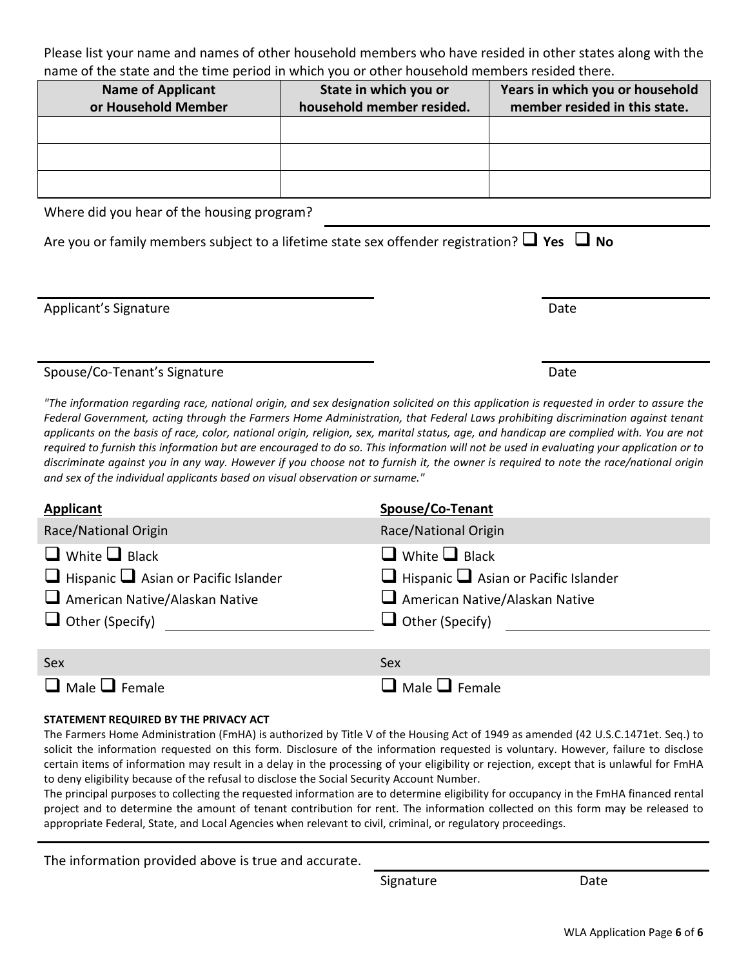Please list your name and names of other household members who have resided in other states along with the name of the state and the time period in which you or other household members resided there.

| <b>Name of Applicant</b><br>or Household Member | State in which you or<br>household member resided. | Years in which you or household<br>member resided in this state. |
|-------------------------------------------------|----------------------------------------------------|------------------------------------------------------------------|
|                                                 |                                                    |                                                                  |
|                                                 |                                                    |                                                                  |
|                                                 |                                                    |                                                                  |

Where did you hear of the housing program?

Are you or family members subject to a lifetime state sex offender registration?  $\Box$  Yes  $\Box$  No

Applicant's Signature Date Date Applicant's Signature Date

Spouse/Co-Tenant's Signature data and the set of the Date Date

*"The information regarding race, national origin, and sex designation solicited on this application is requested in order to assure the Federal Government, acting through the Farmers Home Administration, that Federal Laws prohibiting discrimination against tenant applicants on the basis of race, color, national origin, religion, sex, marital status, age, and handicap are complied with. You are not*  required to furnish this information but are encouraged to do so. This information will not be used in evaluating your application or to *discriminate against you in any way. However if you choose not to furnish it, the owner is required to note the race/national origin and sex of the individual applicants based on visual observation or surname."*

| <b>Applicant</b>                                 | Spouse/Co-Tenant                                 |
|--------------------------------------------------|--------------------------------------------------|
| Race/National Origin                             | Race/National Origin                             |
| $\Box$ White $\Box$ Black                        | $\Box$ White $\Box$ Black                        |
| $\Box$ Hispanic $\Box$ Asian or Pacific Islander | $\Box$ Hispanic $\Box$ Asian or Pacific Islander |
| $\Box$ American Native/Alaskan Native            | American Native/Alaskan Native                   |
| $\Box$ Other (Specify)                           | $\Box$ Other (Specify)                           |
|                                                  |                                                  |
| Sex                                              | Sex                                              |
| $\Box$ Male $\Box$ Female                        | $\Box$ Male $\Box$ Female                        |

#### **STATEMENT REQUIRED BY THE PRIVACY ACT**

The Farmers Home Administration (FmHA) is authorized by Title V of the Housing Act of 1949 as amended (42 U.S.C.1471et. Seq.) to solicit the information requested on this form. Disclosure of the information requested is voluntary. However, failure to disclose certain items of information may result in a delay in the processing of your eligibility or rejection, except that is unlawful for FmHA to deny eligibility because of the refusal to disclose the Social Security Account Number.

The principal purposes to collecting the requested information are to determine eligibility for occupancy in the FmHA financed rental project and to determine the amount of tenant contribution for rent. The information collected on this form may be released to appropriate Federal, State, and Local Agencies when relevant to civil, criminal, or regulatory proceedings.

The information provided above is true and accurate.

Signature Date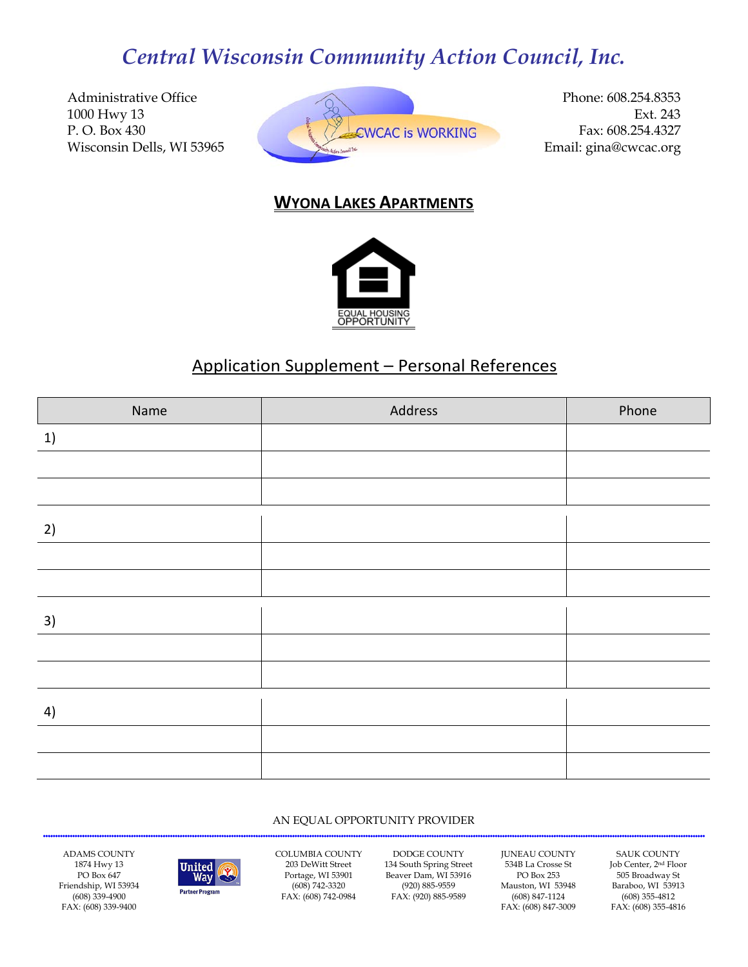Administrative Office 1000 Hwy 13 P. O. Box 430 Wisconsin Dells, WI 53965



Phone: 608.254.8353 Ext. 243 Fax: 608.254.4327 Email: gina@cwcac.org

## **WYONA LAKES APARTMENTS**



# Application Supplement – Personal References

| Name | Address | Phone |
|------|---------|-------|
| 1)   |         |       |
|      |         |       |
|      |         |       |
| 2)   |         |       |
|      |         |       |
|      |         |       |
| 3)   |         |       |
|      |         |       |
|      |         |       |
| 4)   |         |       |
|      |         |       |
|      |         |       |

#### AN EQUAL OPPORTUNITY PROVIDER

ADAMS COUNTY 1874 Hwy 13 PO Box 647 Friendship, WI 53934 (608) 339-4900 FAX: (608) 339-9400



COLUMBIA COUNTY 203 DeWitt Street Portage, WI 53901 (608) 742-3320 FAX: (608) 742-0984

DODGE COUNTY 134 South Spring Street Beaver Dam, WI 53916 (920) 885-9559 FAX: (920) 885-9589

JUNEAU COUNTY 534B La Crosse St PO Box 253 Mauston, WI 53948 (608) 847-1124 FAX: (608) 847-3009

SAUK COUNTY Job Center, 2nd Floor 505 Broadway St Baraboo, WI 53913 (608) 355-4812 FAX: (608) 355-4816